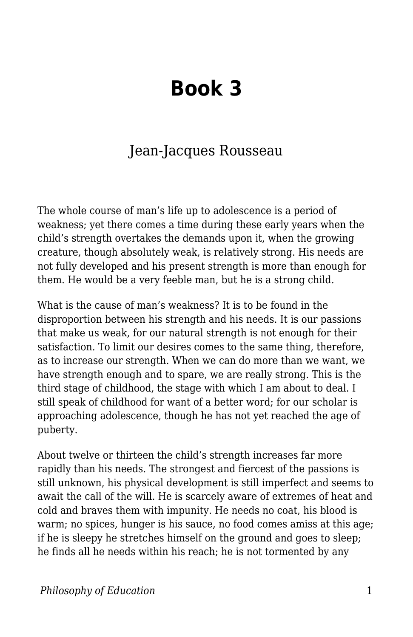## **Book 3**

## Jean-Jacques Rousseau

The whole course of man's life up to adolescence is a period of weakness; yet there comes a time during these early years when the child's strength overtakes the demands upon it, when the growing creature, though absolutely weak, is relatively strong. His needs are not fully developed and his present strength is more than enough for them. He would be a very feeble man, but he is a strong child.

What is the cause of man's weakness? It is to be found in the disproportion between his strength and his needs. It is our passions that make us weak, for our natural strength is not enough for their satisfaction. To limit our desires comes to the same thing, therefore, as to increase our strength. When we can do more than we want, we have strength enough and to spare, we are really strong. This is the third stage of childhood, the stage with which I am about to deal. I still speak of childhood for want of a better word; for our scholar is approaching adolescence, though he has not yet reached the age of puberty.

About twelve or thirteen the child's strength increases far more rapidly than his needs. The strongest and fiercest of the passions is still unknown, his physical development is still imperfect and seems to await the call of the will. He is scarcely aware of extremes of heat and cold and braves them with impunity. He needs no coat, his blood is warm; no spices, hunger is his sauce, no food comes amiss at this age; if he is sleepy he stretches himself on the ground and goes to sleep; he finds all he needs within his reach; he is not tormented by any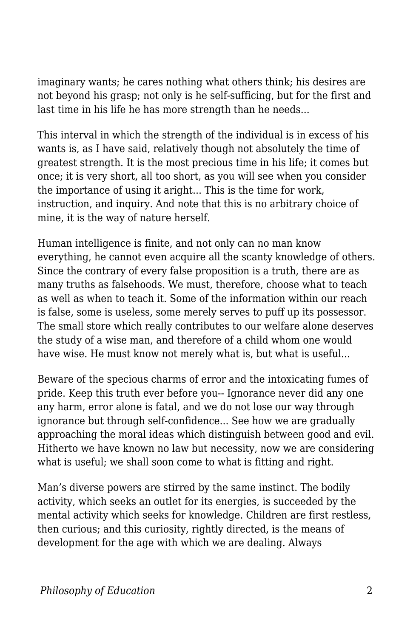imaginary wants; he cares nothing what others think; his desires are not beyond his grasp; not only is he self-sufficing, but for the first and last time in his life he has more strength than he needs...

This interval in which the strength of the individual is in excess of his wants is, as I have said, relatively though not absolutely the time of greatest strength. It is the most precious time in his life; it comes but once; it is very short, all too short, as you will see when you consider the importance of using it aright... This is the time for work, instruction, and inquiry. And note that this is no arbitrary choice of mine, it is the way of nature herself.

Human intelligence is finite, and not only can no man know everything, he cannot even acquire all the scanty knowledge of others. Since the contrary of every false proposition is a truth, there are as many truths as falsehoods. We must, therefore, choose what to teach as well as when to teach it. Some of the information within our reach is false, some is useless, some merely serves to puff up its possessor. The small store which really contributes to our welfare alone deserves the study of a wise man, and therefore of a child whom one would have wise. He must know not merely what is, but what is useful...

Beware of the specious charms of error and the intoxicating fumes of pride. Keep this truth ever before you-- Ignorance never did any one any harm, error alone is fatal, and we do not lose our way through ignorance but through self-confidence... See how we are gradually approaching the moral ideas which distinguish between good and evil. Hitherto we have known no law but necessity, now we are considering what is useful; we shall soon come to what is fitting and right.

Man's diverse powers are stirred by the same instinct. The bodily activity, which seeks an outlet for its energies, is succeeded by the mental activity which seeks for knowledge. Children are first restless, then curious; and this curiosity, rightly directed, is the means of development for the age with which we are dealing. Always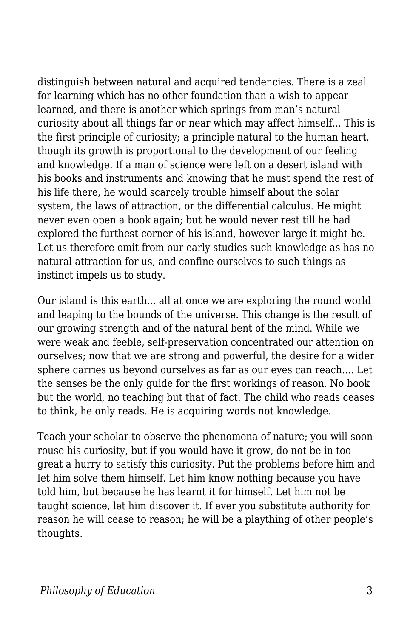distinguish between natural and acquired tendencies. There is a zeal for learning which has no other foundation than a wish to appear learned, and there is another which springs from man's natural curiosity about all things far or near which may affect himself... This is the first principle of curiosity; a principle natural to the human heart, though its growth is proportional to the development of our feeling and knowledge. If a man of science were left on a desert island with his books and instruments and knowing that he must spend the rest of his life there, he would scarcely trouble himself about the solar system, the laws of attraction, or the differential calculus. He might never even open a book again; but he would never rest till he had explored the furthest corner of his island, however large it might be. Let us therefore omit from our early studies such knowledge as has no natural attraction for us, and confine ourselves to such things as instinct impels us to study.

Our island is this earth... all at once we are exploring the round world and leaping to the bounds of the universe. This change is the result of our growing strength and of the natural bent of the mind. While we were weak and feeble, self-preservation concentrated our attention on ourselves; now that we are strong and powerful, the desire for a wider sphere carries us beyond ourselves as far as our eyes can reach.... Let the senses be the only guide for the first workings of reason. No book but the world, no teaching but that of fact. The child who reads ceases to think, he only reads. He is acquiring words not knowledge.

Teach your scholar to observe the phenomena of nature; you will soon rouse his curiosity, but if you would have it grow, do not be in too great a hurry to satisfy this curiosity. Put the problems before him and let him solve them himself. Let him know nothing because you have told him, but because he has learnt it for himself. Let him not be taught science, let him discover it. If ever you substitute authority for reason he will cease to reason; he will be a plaything of other people's thoughts.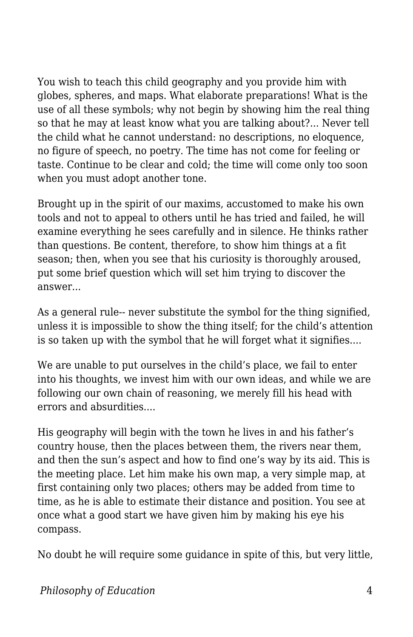You wish to teach this child geography and you provide him with globes, spheres, and maps. What elaborate preparations! What is the use of all these symbols; why not begin by showing him the real thing so that he may at least know what you are talking about?... Never tell the child what he cannot understand: no descriptions, no eloquence, no figure of speech, no poetry. The time has not come for feeling or taste. Continue to be clear and cold; the time will come only too soon when you must adopt another tone.

Brought up in the spirit of our maxims, accustomed to make his own tools and not to appeal to others until he has tried and failed, he will examine everything he sees carefully and in silence. He thinks rather than questions. Be content, therefore, to show him things at a fit season; then, when you see that his curiosity is thoroughly aroused, put some brief question which will set him trying to discover the answer...

As a general rule-- never substitute the symbol for the thing signified, unless it is impossible to show the thing itself; for the child's attention is so taken up with the symbol that he will forget what it signifies....

We are unable to put ourselves in the child's place, we fail to enter into his thoughts, we invest him with our own ideas, and while we are following our own chain of reasoning, we merely fill his head with errors and absurdities....

His geography will begin with the town he lives in and his father's country house, then the places between them, the rivers near them, and then the sun's aspect and how to find one's way by its aid. This is the meeting place. Let him make his own map, a very simple map, at first containing only two places; others may be added from time to time, as he is able to estimate their distance and position. You see at once what a good start we have given him by making his eye his compass.

No doubt he will require some guidance in spite of this, but very little,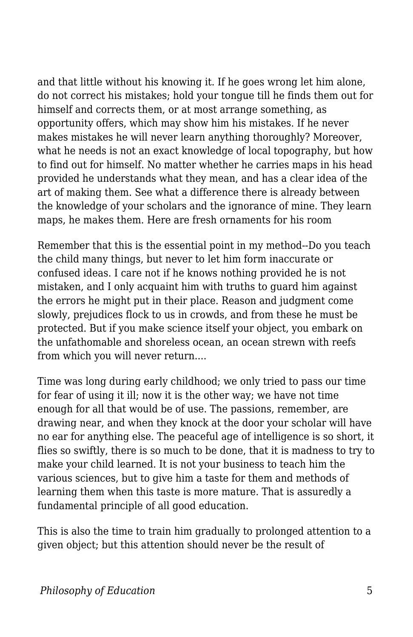and that little without his knowing it. If he goes wrong let him alone, do not correct his mistakes; hold your tongue till he finds them out for himself and corrects them, or at most arrange something, as opportunity offers, which may show him his mistakes. If he never makes mistakes he will never learn anything thoroughly? Moreover, what he needs is not an exact knowledge of local topography, but how to find out for himself. No matter whether he carries maps in his head provided he understands what they mean, and has a clear idea of the art of making them. See what a difference there is already between the knowledge of your scholars and the ignorance of mine. They learn maps, he makes them. Here are fresh ornaments for his room

Remember that this is the essential point in my method--Do you teach the child many things, but never to let him form inaccurate or confused ideas. I care not if he knows nothing provided he is not mistaken, and I only acquaint him with truths to guard him against the errors he might put in their place. Reason and judgment come slowly, prejudices flock to us in crowds, and from these he must be protected. But if you make science itself your object, you embark on the unfathomable and shoreless ocean, an ocean strewn with reefs from which you will never return....

Time was long during early childhood; we only tried to pass our time for fear of using it ill; now it is the other way; we have not time enough for all that would be of use. The passions, remember, are drawing near, and when they knock at the door your scholar will have no ear for anything else. The peaceful age of intelligence is so short, it flies so swiftly, there is so much to be done, that it is madness to try to make your child learned. It is not your business to teach him the various sciences, but to give him a taste for them and methods of learning them when this taste is more mature. That is assuredly a fundamental principle of all good education.

This is also the time to train him gradually to prolonged attention to a given object; but this attention should never be the result of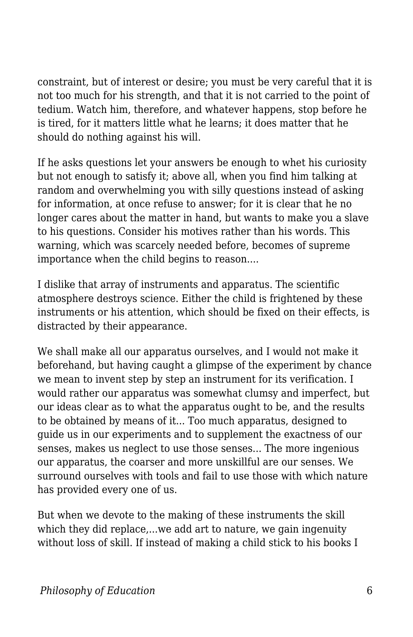constraint, but of interest or desire; you must be very careful that it is not too much for his strength, and that it is not carried to the point of tedium. Watch him, therefore, and whatever happens, stop before he is tired, for it matters little what he learns; it does matter that he should do nothing against his will.

If he asks questions let your answers be enough to whet his curiosity but not enough to satisfy it; above all, when you find him talking at random and overwhelming you with silly questions instead of asking for information, at once refuse to answer; for it is clear that he no longer cares about the matter in hand, but wants to make you a slave to his questions. Consider his motives rather than his words. This warning, which was scarcely needed before, becomes of supreme importance when the child begins to reason....

I dislike that array of instruments and apparatus. The scientific atmosphere destroys science. Either the child is frightened by these instruments or his attention, which should be fixed on their effects, is distracted by their appearance.

We shall make all our apparatus ourselves, and I would not make it beforehand, but having caught a glimpse of the experiment by chance we mean to invent step by step an instrument for its verification. I would rather our apparatus was somewhat clumsy and imperfect, but our ideas clear as to what the apparatus ought to be, and the results to be obtained by means of it... Too much apparatus, designed to guide us in our experiments and to supplement the exactness of our senses, makes us neglect to use those senses... The more ingenious our apparatus, the coarser and more unskillful are our senses. We surround ourselves with tools and fail to use those with which nature has provided every one of us.

But when we devote to the making of these instruments the skill which they did replace,...we add art to nature, we gain ingenuity without loss of skill. If instead of making a child stick to his books I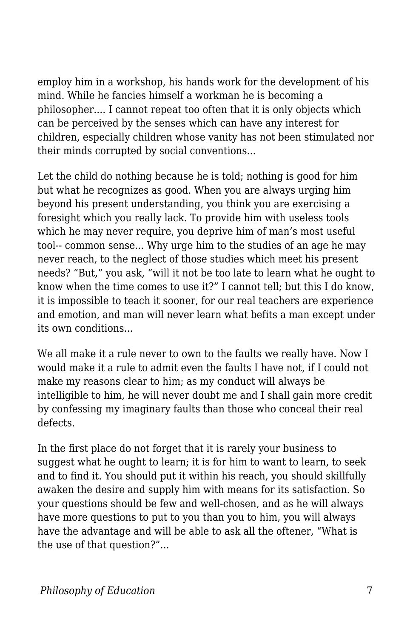employ him in a workshop, his hands work for the development of his mind. While he fancies himself a workman he is becoming a philosopher.... I cannot repeat too often that it is only objects which can be perceived by the senses which can have any interest for children, especially children whose vanity has not been stimulated nor their minds corrupted by social conventions...

Let the child do nothing because he is told; nothing is good for him but what he recognizes as good. When you are always urging him beyond his present understanding, you think you are exercising a foresight which you really lack. To provide him with useless tools which he may never require, you deprive him of man's most useful tool-- common sense... Why urge him to the studies of an age he may never reach, to the neglect of those studies which meet his present needs? "But," you ask, "will it not be too late to learn what he ought to know when the time comes to use it?" I cannot tell; but this I do know, it is impossible to teach it sooner, for our real teachers are experience and emotion, and man will never learn what befits a man except under its own conditions...

We all make it a rule never to own to the faults we really have. Now I would make it a rule to admit even the faults I have not, if I could not make my reasons clear to him; as my conduct will always be intelligible to him, he will never doubt me and I shall gain more credit by confessing my imaginary faults than those who conceal their real defects.

In the first place do not forget that it is rarely your business to suggest what he ought to learn; it is for him to want to learn, to seek and to find it. You should put it within his reach, you should skillfully awaken the desire and supply him with means for its satisfaction. So your questions should be few and well-chosen, and as he will always have more questions to put to you than you to him, you will always have the advantage and will be able to ask all the oftener, "What is the use of that question?"...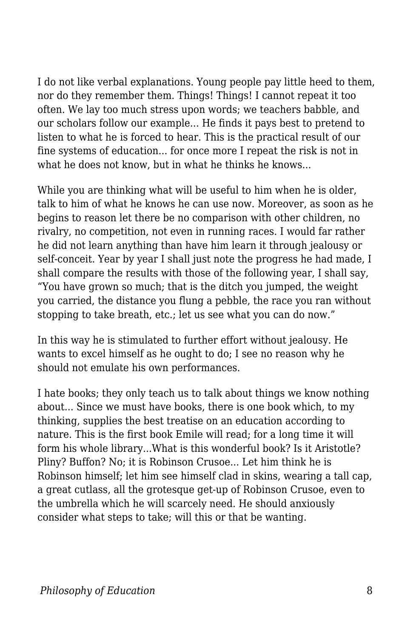I do not like verbal explanations. Young people pay little heed to them, nor do they remember them. Things! Things! I cannot repeat it too often. We lay too much stress upon words; we teachers babble, and our scholars follow our example... He finds it pays best to pretend to listen to what he is forced to hear. This is the practical result of our fine systems of education... for once more I repeat the risk is not in what he does not know, but in what he thinks he knows...

While you are thinking what will be useful to him when he is older, talk to him of what he knows he can use now. Moreover, as soon as he begins to reason let there be no comparison with other children, no rivalry, no competition, not even in running races. I would far rather he did not learn anything than have him learn it through jealousy or self-conceit. Year by year I shall just note the progress he had made, I shall compare the results with those of the following year, I shall say, "You have grown so much; that is the ditch you jumped, the weight you carried, the distance you flung a pebble, the race you ran without stopping to take breath, etc.; let us see what you can do now."

In this way he is stimulated to further effort without jealousy. He wants to excel himself as he ought to do; I see no reason why he should not emulate his own performances.

I hate books; they only teach us to talk about things we know nothing about... Since we must have books, there is one book which, to my thinking, supplies the best treatise on an education according to nature. This is the first book Emile will read; for a long time it will form his whole library...What is this wonderful book? Is it Aristotle? Pliny? Buffon? No; it is Robinson Crusoe... Let him think he is Robinson himself; let him see himself clad in skins, wearing a tall cap, a great cutlass, all the grotesque get-up of Robinson Crusoe, even to the umbrella which he will scarcely need. He should anxiously consider what steps to take; will this or that be wanting.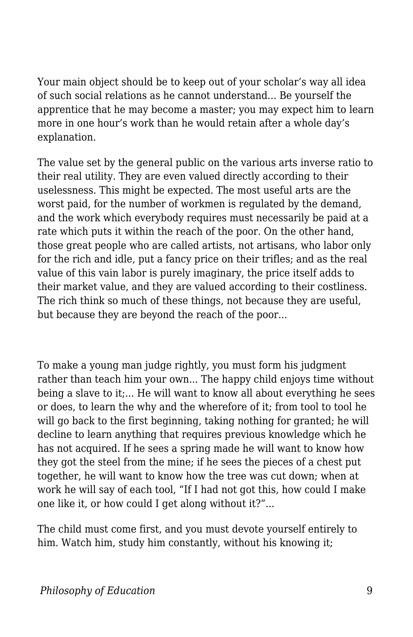Your main object should be to keep out of your scholar's way all idea of such social relations as he cannot understand... Be yourself the apprentice that he may become a master; you may expect him to learn more in one hour's work than he would retain after a whole day's explanation.

The value set by the general public on the various arts inverse ratio to their real utility. They are even valued directly according to their uselessness. This might be expected. The most useful arts are the worst paid, for the number of workmen is regulated by the demand, and the work which everybody requires must necessarily be paid at a rate which puts it within the reach of the poor. On the other hand, those great people who are called artists, not artisans, who labor only for the rich and idle, put a fancy price on their trifles; and as the real value of this vain labor is purely imaginary, the price itself adds to their market value, and they are valued according to their costliness. The rich think so much of these things, not because they are useful, but because they are beyond the reach of the poor...

To make a young man judge rightly, you must form his judgment rather than teach him your own... The happy child enjoys time without being a slave to it;... He will want to know all about everything he sees or does, to learn the why and the wherefore of it; from tool to tool he will go back to the first beginning, taking nothing for granted; he will decline to learn anything that requires previous knowledge which he has not acquired. If he sees a spring made he will want to know how they got the steel from the mine; if he sees the pieces of a chest put together, he will want to know how the tree was cut down; when at work he will say of each tool, "If I had not got this, how could I make one like it, or how could I get along without it?"...

The child must come first, and you must devote yourself entirely to him. Watch him, study him constantly, without his knowing it;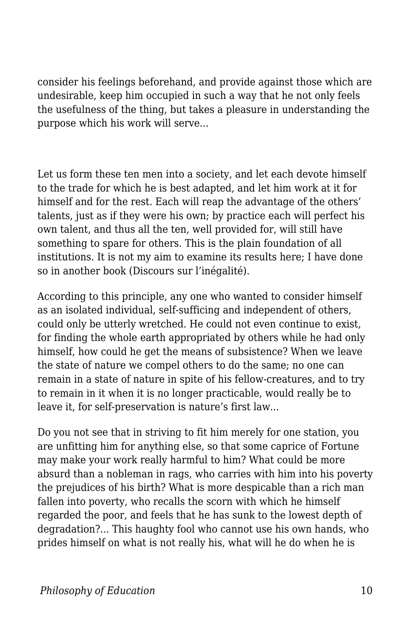consider his feelings beforehand, and provide against those which are undesirable, keep him occupied in such a way that he not only feels the usefulness of the thing, but takes a pleasure in understanding the purpose which his work will serve...

Let us form these ten men into a society, and let each devote himself to the trade for which he is best adapted, and let him work at it for himself and for the rest. Each will reap the advantage of the others' talents, just as if they were his own; by practice each will perfect his own talent, and thus all the ten, well provided for, will still have something to spare for others. This is the plain foundation of all institutions. It is not my aim to examine its results here; I have done so in another book (Discours sur l'inégalité).

According to this principle, any one who wanted to consider himself as an isolated individual, self-sufficing and independent of others, could only be utterly wretched. He could not even continue to exist, for finding the whole earth appropriated by others while he had only himself, how could he get the means of subsistence? When we leave the state of nature we compel others to do the same; no one can remain in a state of nature in spite of his fellow-creatures, and to try to remain in it when it is no longer practicable, would really be to leave it, for self-preservation is nature's first law...

Do you not see that in striving to fit him merely for one station, you are unfitting him for anything else, so that some caprice of Fortune may make your work really harmful to him? What could be more absurd than a nobleman in rags, who carries with him into his poverty the prejudices of his birth? What is more despicable than a rich man fallen into poverty, who recalls the scorn with which he himself regarded the poor, and feels that he has sunk to the lowest depth of degradation?... This haughty fool who cannot use his own hands, who prides himself on what is not really his, what will he do when he is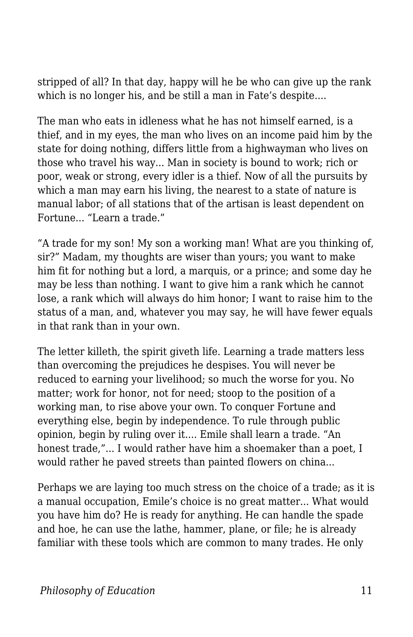stripped of all? In that day, happy will he be who can give up the rank which is no longer his, and be still a man in Fate's despite....

The man who eats in idleness what he has not himself earned, is a thief, and in my eyes, the man who lives on an income paid him by the state for doing nothing, differs little from a highwayman who lives on those who travel his way... Man in society is bound to work; rich or poor, weak or strong, every idler is a thief. Now of all the pursuits by which a man may earn his living, the nearest to a state of nature is manual labor; of all stations that of the artisan is least dependent on Fortune... "Learn a trade."

"A trade for my son! My son a working man! What are you thinking of, sir?" Madam, my thoughts are wiser than yours; you want to make him fit for nothing but a lord, a marquis, or a prince; and some day he may be less than nothing. I want to give him a rank which he cannot lose, a rank which will always do him honor; I want to raise him to the status of a man, and, whatever you may say, he will have fewer equals in that rank than in your own.

The letter killeth, the spirit giveth life. Learning a trade matters less than overcoming the prejudices he despises. You will never be reduced to earning your livelihood; so much the worse for you. No matter; work for honor, not for need; stoop to the position of a working man, to rise above your own. To conquer Fortune and everything else, begin by independence. To rule through public opinion, begin by ruling over it.... Emile shall learn a trade. "An honest trade,"... I would rather have him a shoemaker than a poet, I would rather he paved streets than painted flowers on china...

Perhaps we are laying too much stress on the choice of a trade; as it is a manual occupation, Emile's choice is no great matter... What would you have him do? He is ready for anything. He can handle the spade and hoe, he can use the lathe, hammer, plane, or file; he is already familiar with these tools which are common to many trades. He only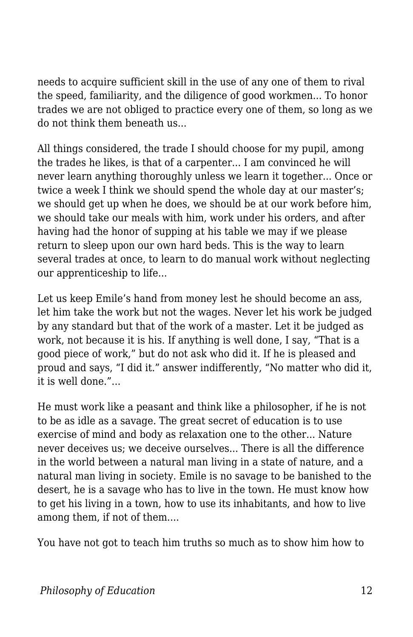needs to acquire sufficient skill in the use of any one of them to rival the speed, familiarity, and the diligence of good workmen... To honor trades we are not obliged to practice every one of them, so long as we do not think them beneath us...

All things considered, the trade I should choose for my pupil, among the trades he likes, is that of a carpenter... I am convinced he will never learn anything thoroughly unless we learn it together... Once or twice a week I think we should spend the whole day at our master's; we should get up when he does, we should be at our work before him, we should take our meals with him, work under his orders, and after having had the honor of supping at his table we may if we please return to sleep upon our own hard beds. This is the way to learn several trades at once, to learn to do manual work without neglecting our apprenticeship to life...

Let us keep Emile's hand from money lest he should become an ass, let him take the work but not the wages. Never let his work be judged by any standard but that of the work of a master. Let it be judged as work, not because it is his. If anything is well done, I say, "That is a good piece of work," but do not ask who did it. If he is pleased and proud and says, "I did it." answer indifferently, "No matter who did it, it is well done."...

He must work like a peasant and think like a philosopher, if he is not to be as idle as a savage. The great secret of education is to use exercise of mind and body as relaxation one to the other... Nature never deceives us; we deceive ourselves... There is all the difference in the world between a natural man living in a state of nature, and a natural man living in society. Emile is no savage to be banished to the desert, he is a savage who has to live in the town. He must know how to get his living in a town, how to use its inhabitants, and how to live among them, if not of them....

You have not got to teach him truths so much as to show him how to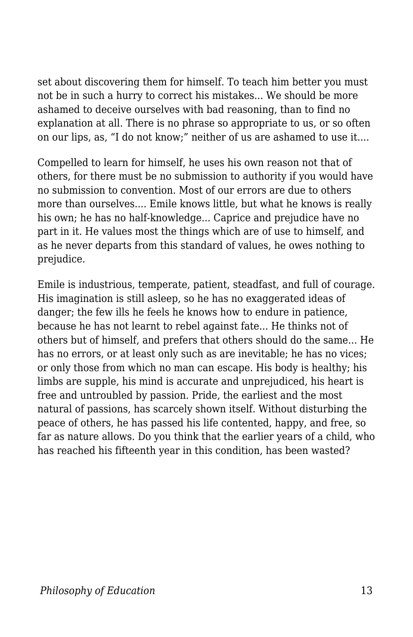set about discovering them for himself. To teach him better you must not be in such a hurry to correct his mistakes... We should be more ashamed to deceive ourselves with bad reasoning, than to find no explanation at all. There is no phrase so appropriate to us, or so often on our lips, as, "I do not know;" neither of us are ashamed to use it....

Compelled to learn for himself, he uses his own reason not that of others, for there must be no submission to authority if you would have no submission to convention. Most of our errors are due to others more than ourselves.... Emile knows little, but what he knows is really his own; he has no half-knowledge... Caprice and prejudice have no part in it. He values most the things which are of use to himself, and as he never departs from this standard of values, he owes nothing to prejudice.

Emile is industrious, temperate, patient, steadfast, and full of courage. His imagination is still asleep, so he has no exaggerated ideas of danger; the few ills he feels he knows how to endure in patience, because he has not learnt to rebel against fate... He thinks not of others but of himself, and prefers that others should do the same... He has no errors, or at least only such as are inevitable; he has no vices; or only those from which no man can escape. His body is healthy; his limbs are supple, his mind is accurate and unprejudiced, his heart is free and untroubled by passion. Pride, the earliest and the most natural of passions, has scarcely shown itself. Without disturbing the peace of others, he has passed his life contented, happy, and free, so far as nature allows. Do you think that the earlier years of a child, who has reached his fifteenth year in this condition, has been wasted?